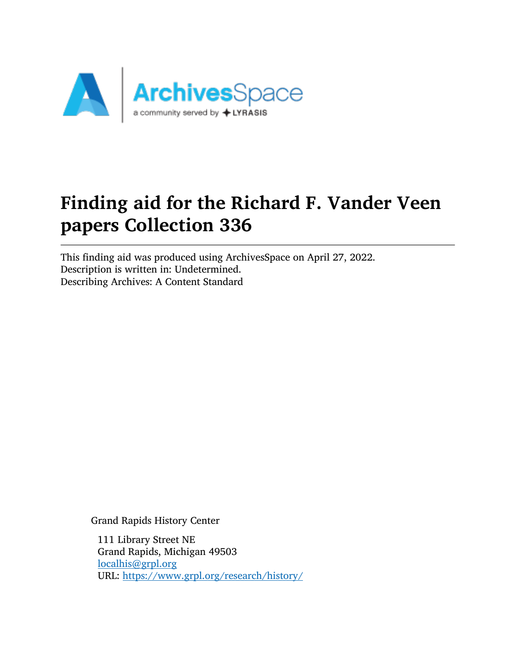

# Finding aid for the Richard F. Vander Veen papers Collection 336

This finding aid was produced using ArchivesSpace on April 27, 2022. Description is written in: Undetermined. Describing Archives: A Content Standard

Grand Rapids History Center

111 Library Street NE Grand Rapids, Michigan 49503 [localhis@grpl.org](mailto:localhis@grpl.org) URL: <https://www.grpl.org/research/history/>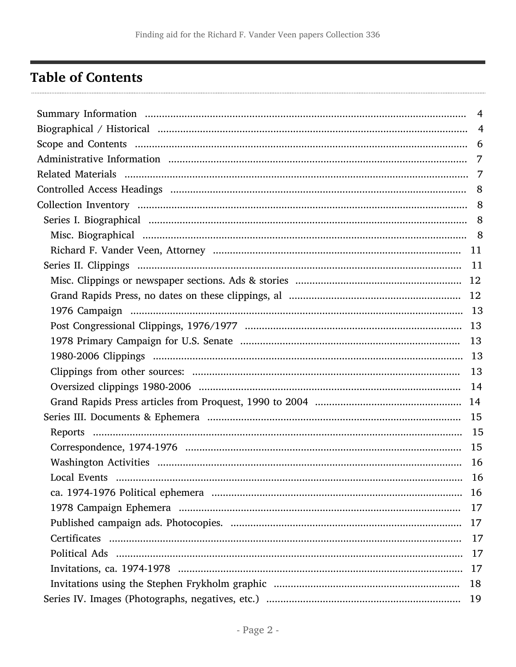## <span id="page-1-0"></span>**Table of Contents**

| $\overline{4}$ |
|----------------|
|                |
|                |
|                |
|                |
|                |
|                |
|                |
|                |
|                |
|                |
|                |
|                |
|                |
|                |
|                |
|                |
|                |
|                |
|                |
|                |
|                |
|                |
|                |
|                |
|                |
| 17             |
| 17             |
|                |
|                |
| 17             |
| 18             |
| 19             |
|                |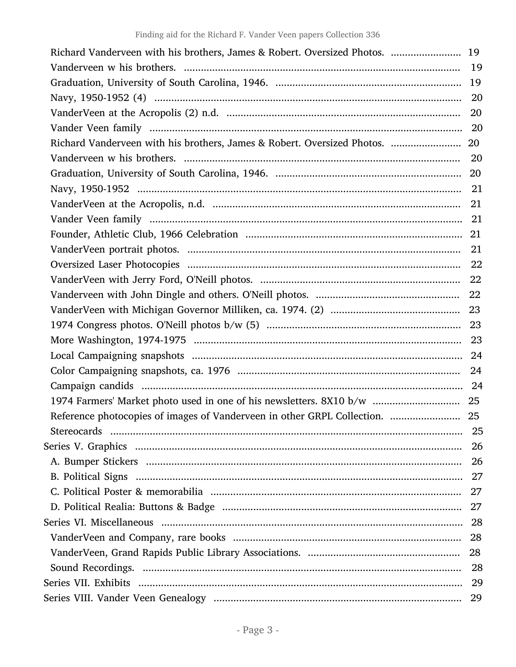| Richard Vanderveen with his brothers, James & Robert. Oversized Photos.  19 |    |
|-----------------------------------------------------------------------------|----|
|                                                                             |    |
|                                                                             |    |
|                                                                             |    |
|                                                                             |    |
|                                                                             |    |
|                                                                             |    |
|                                                                             |    |
|                                                                             |    |
|                                                                             |    |
|                                                                             |    |
|                                                                             |    |
|                                                                             |    |
|                                                                             |    |
|                                                                             |    |
|                                                                             |    |
|                                                                             |    |
|                                                                             |    |
|                                                                             |    |
|                                                                             |    |
|                                                                             |    |
|                                                                             |    |
|                                                                             |    |
|                                                                             |    |
|                                                                             |    |
|                                                                             | 25 |
|                                                                             | 26 |
|                                                                             | 26 |
|                                                                             | 27 |
|                                                                             | 27 |
|                                                                             | 27 |
|                                                                             | 28 |
|                                                                             |    |
|                                                                             | 28 |
|                                                                             | 28 |
|                                                                             | 29 |
|                                                                             | 29 |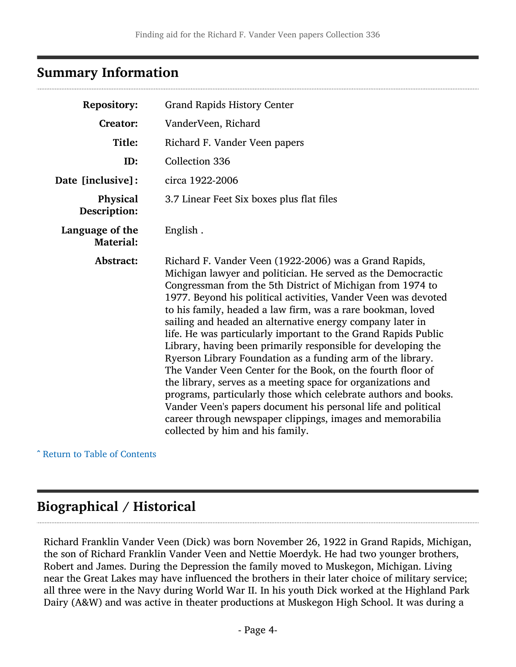### <span id="page-3-0"></span>Summary Information

| <b>Repository:</b>                  | <b>Grand Rapids History Center</b>                                                                                                                                                                                                                                                                                                                                                                                                                                                                                                                                                                                                                                                                                                                                                                                                                                                                                                                        |
|-------------------------------------|-----------------------------------------------------------------------------------------------------------------------------------------------------------------------------------------------------------------------------------------------------------------------------------------------------------------------------------------------------------------------------------------------------------------------------------------------------------------------------------------------------------------------------------------------------------------------------------------------------------------------------------------------------------------------------------------------------------------------------------------------------------------------------------------------------------------------------------------------------------------------------------------------------------------------------------------------------------|
| <b>Creator:</b>                     | VanderVeen, Richard                                                                                                                                                                                                                                                                                                                                                                                                                                                                                                                                                                                                                                                                                                                                                                                                                                                                                                                                       |
| Title:                              | Richard F. Vander Veen papers                                                                                                                                                                                                                                                                                                                                                                                                                                                                                                                                                                                                                                                                                                                                                                                                                                                                                                                             |
| ID:                                 | <b>Collection 336</b>                                                                                                                                                                                                                                                                                                                                                                                                                                                                                                                                                                                                                                                                                                                                                                                                                                                                                                                                     |
| Date [inclusive]:                   | circa 1922-2006                                                                                                                                                                                                                                                                                                                                                                                                                                                                                                                                                                                                                                                                                                                                                                                                                                                                                                                                           |
| Physical<br>Description:            | 3.7 Linear Feet Six boxes plus flat files                                                                                                                                                                                                                                                                                                                                                                                                                                                                                                                                                                                                                                                                                                                                                                                                                                                                                                                 |
| Language of the<br><b>Material:</b> | English.                                                                                                                                                                                                                                                                                                                                                                                                                                                                                                                                                                                                                                                                                                                                                                                                                                                                                                                                                  |
| Abstract:                           | Richard F. Vander Veen (1922-2006) was a Grand Rapids,<br>Michigan lawyer and politician. He served as the Democractic<br>Congressman from the 5th District of Michigan from 1974 to<br>1977. Beyond his political activities, Vander Veen was devoted<br>to his family, headed a law firm, was a rare bookman, loved<br>sailing and headed an alternative energy company later in<br>life. He was particularly important to the Grand Rapids Public<br>Library, having been primarily responsible for developing the<br>Ryerson Library Foundation as a funding arm of the library.<br>The Vander Veen Center for the Book, on the fourth floor of<br>the library, serves as a meeting space for organizations and<br>programs, particularly those which celebrate authors and books.<br>Vander Veen's papers document his personal life and political<br>career through newspaper clippings, images and memorabilia<br>collected by him and his family. |

^ [Return to Table of Contents](#page-1-0)

## <span id="page-3-1"></span>Biographical / Historical

Richard Franklin Vander Veen (Dick) was born November 26, 1922 in Grand Rapids, Michigan, the son of Richard Franklin Vander Veen and Nettie Moerdyk. He had two younger brothers, Robert and James. During the Depression the family moved to Muskegon, Michigan. Living near the Great Lakes may have influenced the brothers in their later choice of military service; all three were in the Navy during World War II. In his youth Dick worked at the Highland Park Dairy (A&W) and was active in theater productions at Muskegon High School. It was during a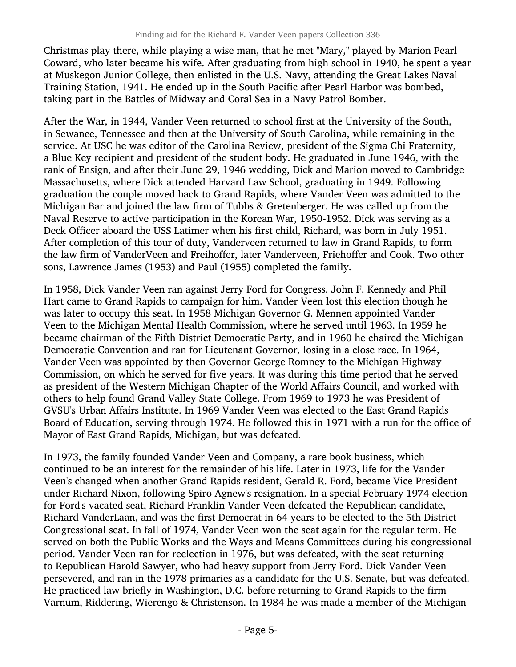Christmas play there, while playing a wise man, that he met "Mary," played by Marion Pearl Coward, who later became his wife. After graduating from high school in 1940, he spent a year at Muskegon Junior College, then enlisted in the U.S. Navy, attending the Great Lakes Naval Training Station, 1941. He ended up in the South Pacific after Pearl Harbor was bombed, taking part in the Battles of Midway and Coral Sea in a Navy Patrol Bomber.

After the War, in 1944, Vander Veen returned to school first at the University of the South, in Sewanee, Tennessee and then at the University of South Carolina, while remaining in the service. At USC he was editor of the Carolina Review, president of the Sigma Chi Fraternity, a Blue Key recipient and president of the student body. He graduated in June 1946, with the rank of Ensign, and after their June 29, 1946 wedding, Dick and Marion moved to Cambridge Massachusetts, where Dick attended Harvard Law School, graduating in 1949. Following graduation the couple moved back to Grand Rapids, where Vander Veen was admitted to the Michigan Bar and joined the law firm of Tubbs & Gretenberger. He was called up from the Naval Reserve to active participation in the Korean War, 1950-1952. Dick was serving as a Deck Officer aboard the USS Latimer when his first child, Richard, was born in July 1951. After completion of this tour of duty, Vanderveen returned to law in Grand Rapids, to form the law firm of VanderVeen and Freihoffer, later Vanderveen, Friehoffer and Cook. Two other sons, Lawrence James (1953) and Paul (1955) completed the family.

In 1958, Dick Vander Veen ran against Jerry Ford for Congress. John F. Kennedy and Phil Hart came to Grand Rapids to campaign for him. Vander Veen lost this election though he was later to occupy this seat. In 1958 Michigan Governor G. Mennen appointed Vander Veen to the Michigan Mental Health Commission, where he served until 1963. In 1959 he became chairman of the Fifth District Democratic Party, and in 1960 he chaired the Michigan Democratic Convention and ran for Lieutenant Governor, losing in a close race. In 1964, Vander Veen was appointed by then Governor George Romney to the Michigan Highway Commission, on which he served for five years. It was during this time period that he served as president of the Western Michigan Chapter of the World Affairs Council, and worked with others to help found Grand Valley State College. From 1969 to 1973 he was President of GVSU's Urban Affairs Institute. In 1969 Vander Veen was elected to the East Grand Rapids Board of Education, serving through 1974. He followed this in 1971 with a run for the office of Mayor of East Grand Rapids, Michigan, but was defeated.

In 1973, the family founded Vander Veen and Company, a rare book business, which continued to be an interest for the remainder of his life. Later in 1973, life for the Vander Veen's changed when another Grand Rapids resident, Gerald R. Ford, became Vice President under Richard Nixon, following Spiro Agnew's resignation. In a special February 1974 election for Ford's vacated seat, Richard Franklin Vander Veen defeated the Republican candidate, Richard VanderLaan, and was the first Democrat in 64 years to be elected to the 5th District Congressional seat. In fall of 1974, Vander Veen won the seat again for the regular term. He served on both the Public Works and the Ways and Means Committees during his congressional period. Vander Veen ran for reelection in 1976, but was defeated, with the seat returning to Republican Harold Sawyer, who had heavy support from Jerry Ford. Dick Vander Veen persevered, and ran in the 1978 primaries as a candidate for the U.S. Senate, but was defeated. He practiced law briefly in Washington, D.C. before returning to Grand Rapids to the firm Varnum, Riddering, Wierengo & Christenson. In 1984 he was made a member of the Michigan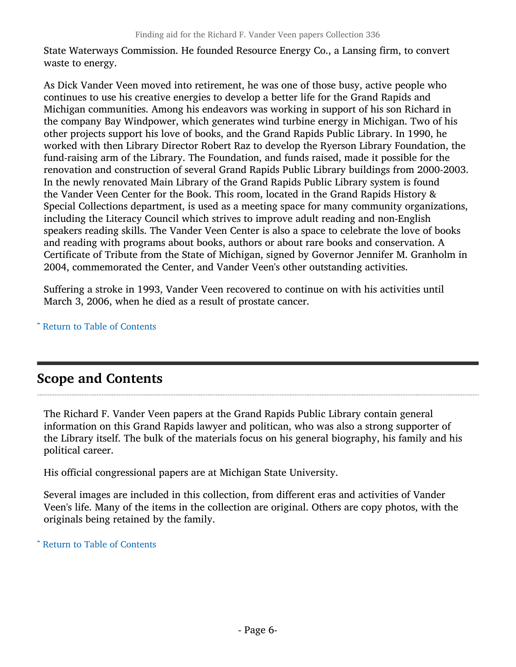State Waterways Commission. He founded Resource Energy Co., a Lansing firm, to convert waste to energy.

As Dick Vander Veen moved into retirement, he was one of those busy, active people who continues to use his creative energies to develop a better life for the Grand Rapids and Michigan communities. Among his endeavors was working in support of his son Richard in the company Bay Windpower, which generates wind turbine energy in Michigan. Two of his other projects support his love of books, and the Grand Rapids Public Library. In 1990, he worked with then Library Director Robert Raz to develop the Ryerson Library Foundation, the fund-raising arm of the Library. The Foundation, and funds raised, made it possible for the renovation and construction of several Grand Rapids Public Library buildings from 2000-2003. In the newly renovated Main Library of the Grand Rapids Public Library system is found the Vander Veen Center for the Book. This room, located in the Grand Rapids History & Special Collections department, is used as a meeting space for many community organizations, including the Literacy Council which strives to improve adult reading and non-English speakers reading skills. The Vander Veen Center is also a space to celebrate the love of books and reading with programs about books, authors or about rare books and conservation. A Certificate of Tribute from the State of Michigan, signed by Governor Jennifer M. Granholm in 2004, commemorated the Center, and Vander Veen's other outstanding activities.

Suffering a stroke in 1993, Vander Veen recovered to continue on with his activities until March 3, 2006, when he died as a result of prostate cancer.

^ [Return to Table of Contents](#page-1-0)

### <span id="page-5-0"></span>Scope and Contents

The Richard F. Vander Veen papers at the Grand Rapids Public Library contain general information on this Grand Rapids lawyer and politican, who was also a strong supporter of the Library itself. The bulk of the materials focus on his general biography, his family and his political career.

His official congressional papers are at Michigan State University.

Several images are included in this collection, from different eras and activities of Vander Veen's life. Many of the items in the collection are original. Others are copy photos, with the originals being retained by the family.

^ [Return to Table of Contents](#page-1-0)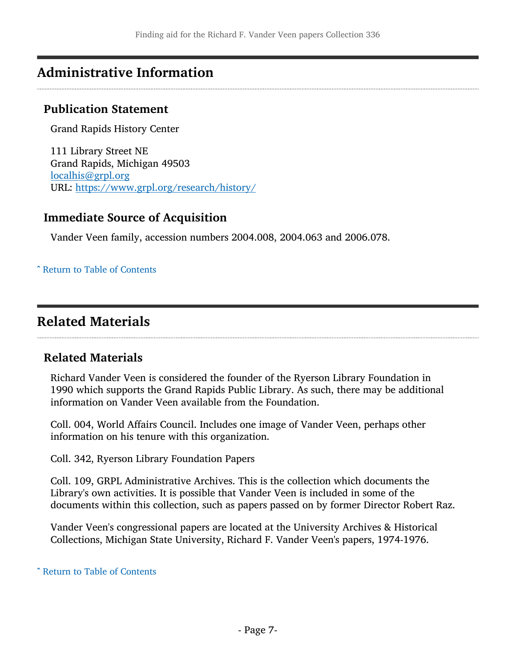## <span id="page-6-0"></span>Administrative Information

#### Publication Statement

Grand Rapids History Center

111 Library Street NE Grand Rapids, Michigan 49503 [localhis@grpl.org](mailto:localhis@grpl.org) URL: <https://www.grpl.org/research/history/>

### Immediate Source of Acquisition

Vander Veen family, accession numbers 2004.008, 2004.063 and 2006.078.

#### ^ [Return to Table of Contents](#page-1-0)

### <span id="page-6-1"></span>Related Materials

#### Related Materials

Richard Vander Veen is considered the founder of the Ryerson Library Foundation in 1990 which supports the Grand Rapids Public Library. As such, there may be additional information on Vander Veen available from the Foundation.

Coll. 004, World Affairs Council. Includes one image of Vander Veen, perhaps other information on his tenure with this organization.

Coll. 342, Ryerson Library Foundation Papers

Coll. 109, GRPL Administrative Archives. This is the collection which documents the Library's own activities. It is possible that Vander Veen is included in some of the documents within this collection, such as papers passed on by former Director Robert Raz.

Vander Veen's congressional papers are located at the University Archives & Historical Collections, Michigan State University, Richard F. Vander Veen's papers, 1974-1976.

^ [Return to Table of Contents](#page-1-0)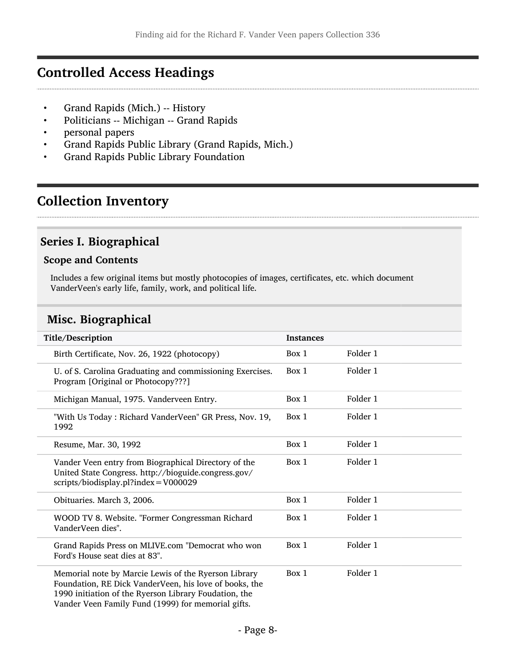### <span id="page-7-0"></span>Controlled Access Headings

- Grand Rapids (Mich.) -- History
- Politicians -- Michigan -- Grand Rapids
- personal papers
- Grand Rapids Public Library (Grand Rapids, Mich.)
- Grand Rapids Public Library Foundation

## <span id="page-7-1"></span>Collection Inventory

### <span id="page-7-2"></span>Series I. Biographical

#### Scope and Contents

Includes a few original items but mostly photocopies of images, certificates, etc. which document VanderVeen's early life, family, work, and political life.

### <span id="page-7-3"></span>Misc. Biographical

| Title/Description                                                                                                                                                                                                             | <b>Instances</b> |          |
|-------------------------------------------------------------------------------------------------------------------------------------------------------------------------------------------------------------------------------|------------------|----------|
| Birth Certificate, Nov. 26, 1922 (photocopy)                                                                                                                                                                                  | Box 1            | Folder 1 |
| U. of S. Carolina Graduating and commissioning Exercises.<br>Program [Original or Photocopy???]                                                                                                                               | Box 1            | Folder 1 |
| Michigan Manual, 1975. Vanderveen Entry.                                                                                                                                                                                      | Box 1            | Folder 1 |
| "With Us Today: Richard VanderVeen" GR Press, Nov. 19,<br>1992                                                                                                                                                                | Box 1            | Folder 1 |
| Resume, Mar. 30, 1992                                                                                                                                                                                                         | Box 1            | Folder 1 |
| Vander Veen entry from Biographical Directory of the<br>United State Congress. http://bioguide.congress.gov/<br>scripts/biodisplay.pl?index = V000029                                                                         | Box 1            | Folder 1 |
| Obituaries. March 3, 2006.                                                                                                                                                                                                    | Box 1            | Folder 1 |
| WOOD TV 8. Website. "Former Congressman Richard<br>VanderVeen dies".                                                                                                                                                          | Box 1            | Folder 1 |
| Grand Rapids Press on MLIVE.com "Democrat who won<br>Ford's House seat dies at 83".                                                                                                                                           | Box 1            | Folder 1 |
| Memorial note by Marcie Lewis of the Ryerson Library<br>Foundation, RE Dick VanderVeen, his love of books, the<br>1990 initiation of the Ryerson Library Foudation, the<br>Vander Veen Family Fund (1999) for memorial gifts. | Box 1            | Folder 1 |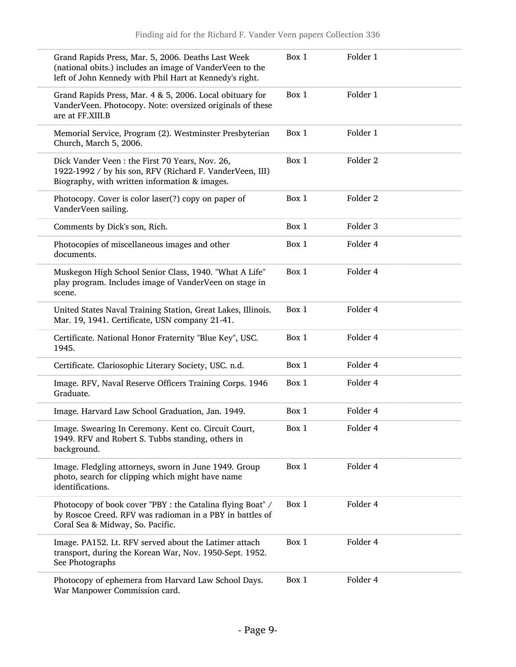| Grand Rapids Press, Mar. 5, 2006. Deaths Last Week<br>(national obits.) includes an image of VanderVeen to the<br>left of John Kennedy with Phil Hart at Kennedy's right. | Box 1 | Folder 1            |
|---------------------------------------------------------------------------------------------------------------------------------------------------------------------------|-------|---------------------|
| Grand Rapids Press, Mar. 4 & 5, 2006. Local obituary for<br>VanderVeen. Photocopy. Note: oversized originals of these<br>are at FF.XIII.B                                 | Box 1 | Folder 1            |
| Memorial Service, Program (2). Westminster Presbyterian<br>Church, March 5, 2006.                                                                                         | Box 1 | Folder 1            |
| Dick Vander Veen: the First 70 Years, Nov. 26,<br>1922-1992 / by his son, RFV (Richard F. VanderVeen, III)<br>Biography, with written information & images.               | Box 1 | Folder 2            |
| Photocopy. Cover is color laser(?) copy on paper of<br>VanderVeen sailing.                                                                                                | Box 1 | Folder <sub>2</sub> |
| Comments by Dick's son, Rich.                                                                                                                                             | Box 1 | Folder 3            |
| Photocopies of miscellaneous images and other<br>documents.                                                                                                               | Box 1 | Folder 4            |
| Muskegon High School Senior Class, 1940. "What A Life"<br>play program. Includes image of VanderVeen on stage in<br>scene.                                                | Box 1 | Folder 4            |
| United States Naval Training Station, Great Lakes, Illinois.<br>Mar. 19, 1941. Certificate, USN company 21-41.                                                            | Box 1 | Folder 4            |
| Certificate. National Honor Fraternity "Blue Key", USC.<br>1945.                                                                                                          | Box 1 | Folder 4            |
| Certificate. Clariosophic Literary Society, USC. n.d.                                                                                                                     | Box 1 | Folder 4            |
| Image. RFV, Naval Reserve Officers Training Corps. 1946<br>Graduate.                                                                                                      | Box 1 | Folder 4            |
| Image. Harvard Law School Graduation, Jan. 1949.                                                                                                                          | Box 1 | Folder 4            |
| Image. Swearing In Ceremony. Kent co. Circuit Court,<br>1949. RFV and Robert S. Tubbs standing, others in<br>background.                                                  | Box 1 | Folder 4            |
| Image. Fledgling attorneys, sworn in June 1949. Group<br>photo, search for clipping which might have name<br>identifications.                                             | Box 1 | Folder 4            |
| Photocopy of book cover "PBY : the Catalina flying Boat" /<br>by Roscoe Creed. RFV was radioman in a PBY in battles of<br>Coral Sea & Midway, So. Pacific.                | Box 1 | Folder 4            |
| Image. PA152. Lt. RFV served about the Latimer attach<br>transport, during the Korean War, Nov. 1950-Sept. 1952.<br>See Photographs                                       | Box 1 | Folder 4            |
| Photocopy of ephemera from Harvard Law School Days.<br>War Manpower Commission card.                                                                                      | Box 1 | Folder 4            |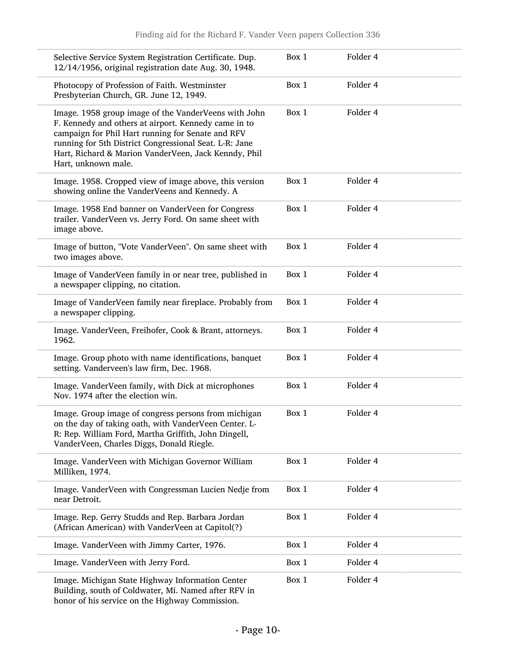| Selective Service System Registration Certificate. Dup.<br>12/14/1956, original registration date Aug. 30, 1948.                                                                                                                                                                                           | Box 1 | Folder 4 |  |
|------------------------------------------------------------------------------------------------------------------------------------------------------------------------------------------------------------------------------------------------------------------------------------------------------------|-------|----------|--|
| Photocopy of Profession of Faith. Westminster<br>Presbyterian Church, GR. June 12, 1949.                                                                                                                                                                                                                   | Box 1 | Folder 4 |  |
| Image. 1958 group image of the VanderVeens with John<br>F. Kennedy and others at airport. Kennedy came in to<br>campaign for Phil Hart running for Senate and RFV<br>running for 5th District Congressional Seat. L-R: Jane<br>Hart, Richard & Marion VanderVeen, Jack Kenndy, Phil<br>Hart, unknown male. | Box 1 | Folder 4 |  |
| Image. 1958. Cropped view of image above, this version<br>showing online the VanderVeens and Kennedy. A                                                                                                                                                                                                    | Box 1 | Folder 4 |  |
| Image. 1958 End banner on VanderVeen for Congress<br>trailer. VanderVeen vs. Jerry Ford. On same sheet with<br>image above.                                                                                                                                                                                | Box 1 | Folder 4 |  |
| Image of button, "Vote VanderVeen". On same sheet with<br>two images above.                                                                                                                                                                                                                                | Box 1 | Folder 4 |  |
| Image of VanderVeen family in or near tree, published in<br>a newspaper clipping, no citation.                                                                                                                                                                                                             | Box 1 | Folder 4 |  |
| Image of VanderVeen family near fireplace. Probably from<br>a newspaper clipping.                                                                                                                                                                                                                          | Box 1 | Folder 4 |  |
| Image. VanderVeen, Freihofer, Cook & Brant, attorneys.<br>1962.                                                                                                                                                                                                                                            | Box 1 | Folder 4 |  |
| Image. Group photo with name identifications, banquet<br>setting. Vanderveen's law firm, Dec. 1968.                                                                                                                                                                                                        | Box 1 | Folder 4 |  |
| Image. VanderVeen family, with Dick at microphones<br>Nov. 1974 after the election win.                                                                                                                                                                                                                    | Box 1 | Folder 4 |  |
| Image. Group image of congress persons from michigan<br>on the day of taking oath, with VanderVeen Center. L-<br>R: Rep. William Ford, Martha Griffith, John Dingell,<br>VanderVeen, Charles Diggs, Donald Riegle.                                                                                         | Box 1 | Folder 4 |  |
| Image. VanderVeen with Michigan Governor William<br>Milliken, 1974.                                                                                                                                                                                                                                        | Box 1 | Folder 4 |  |
| Image. VanderVeen with Congressman Lucien Nedje from<br>near Detroit.                                                                                                                                                                                                                                      | Box 1 | Folder 4 |  |
| Image. Rep. Gerry Studds and Rep. Barbara Jordan<br>(African American) with VanderVeen at Capitol(?)                                                                                                                                                                                                       | Box 1 | Folder 4 |  |
| Image. VanderVeen with Jimmy Carter, 1976.                                                                                                                                                                                                                                                                 | Box 1 | Folder 4 |  |
| Image. VanderVeen with Jerry Ford.                                                                                                                                                                                                                                                                         | Box 1 | Folder 4 |  |
| Image. Michigan State Highway Information Center<br>Building, south of Coldwater, Mi. Named after RFV in<br>honor of his service on the Highway Commission.                                                                                                                                                | Box 1 | Folder 4 |  |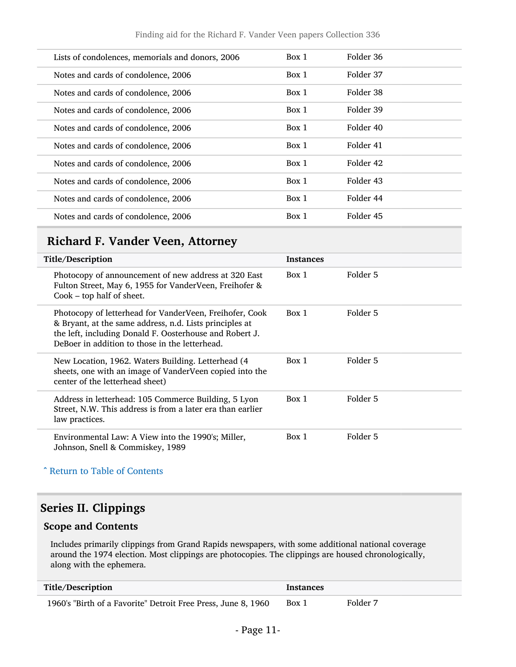| Lists of condolences, memorials and donors, 2006 | Box 1 | Folder 36 |  |
|--------------------------------------------------|-------|-----------|--|
| Notes and cards of condolence, 2006              | Box 1 | Folder 37 |  |
| Notes and cards of condolence, 2006              | Box 1 | Folder 38 |  |
| Notes and cards of condolence, 2006              | Box 1 | Folder 39 |  |
| Notes and cards of condolence, 2006              | Box 1 | Folder 40 |  |
| Notes and cards of condolence, 2006              | Box 1 | Folder 41 |  |
| Notes and cards of condolence, 2006              | Box 1 | Folder 42 |  |
| Notes and cards of condolence, 2006              | Box 1 | Folder 43 |  |
| Notes and cards of condolence, 2006              | Box 1 | Folder 44 |  |
| Notes and cards of condolence, 2006              | Box 1 | Folder 45 |  |
|                                                  |       |           |  |

## <span id="page-10-0"></span>Richard F. Vander Veen, Attorney

| Title/Description                                                                                                                                                                                                               | <b>Instances</b> |          |
|---------------------------------------------------------------------------------------------------------------------------------------------------------------------------------------------------------------------------------|------------------|----------|
| Photocopy of announcement of new address at 320 East<br>Fulton Street, May 6, 1955 for VanderVeen, Freihofer &<br>$Cook$ – top half of sheet.                                                                                   | Box 1            | Folder 5 |
| Photocopy of letterhead for VanderVeen, Freihofer, Cook<br>& Bryant, at the same address, n.d. Lists principles at<br>the left, including Donald F. Oosterhouse and Robert J.<br>DeBoer in addition to those in the letterhead. | Box 1            | Folder 5 |
| New Location, 1962. Waters Building. Letterhead (4)<br>sheets, one with an image of VanderVeen copied into the<br>center of the letterhead sheet)                                                                               | Box 1            | Folder 5 |
| Address in letterhead: 105 Commerce Building, 5 Lyon<br>Street, N.W. This address is from a later era than earlier<br>law practices.                                                                                            | Box 1            | Folder 5 |
| Environmental Law: A View into the 1990's; Miller,<br>Johnson, Snell & Commiskey, 1989                                                                                                                                          | Box 1            | Folder 5 |

^ [Return to Table of Contents](#page-1-0)

### <span id="page-10-1"></span>Series II. Clippings

#### Scope and Contents

Includes primarily clippings from Grand Rapids newspapers, with some additional national coverage around the 1974 election. Most clippings are photocopies. The clippings are housed chronologically, along with the ephemera.

| Title/Description                                             | <b>Instances</b> |          |
|---------------------------------------------------------------|------------------|----------|
| 1960's "Birth of a Favorite" Detroit Free Press, June 8, 1960 | Box 1            | Folder 7 |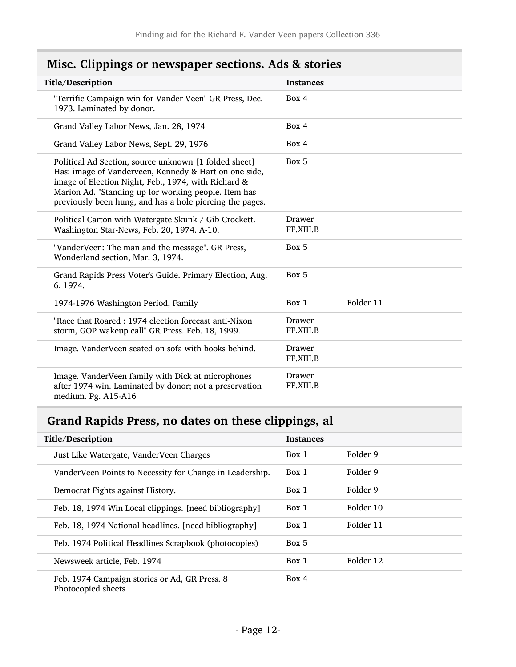| Title/Description                                                                                                                                                                                                                                                                         | <b>Instances</b>    |           |
|-------------------------------------------------------------------------------------------------------------------------------------------------------------------------------------------------------------------------------------------------------------------------------------------|---------------------|-----------|
| "Terrific Campaign win for Vander Veen" GR Press, Dec.<br>1973. Laminated by donor.                                                                                                                                                                                                       | Box 4               |           |
| Grand Valley Labor News, Jan. 28, 1974                                                                                                                                                                                                                                                    | Box 4               |           |
| Grand Valley Labor News, Sept. 29, 1976                                                                                                                                                                                                                                                   | Box 4               |           |
| Political Ad Section, source unknown [1 folded sheet]<br>Has: image of Vanderveen, Kennedy & Hart on one side,<br>image of Election Night, Feb., 1974, with Richard &<br>Marion Ad. "Standing up for working people. Item has<br>previously been hung, and has a hole piercing the pages. | Box 5               |           |
| Political Carton with Watergate Skunk / Gib Crockett.<br>Washington Star-News, Feb. 20, 1974. A-10.                                                                                                                                                                                       | Drawer<br>FF.XIII.B |           |
| "VanderVeen: The man and the message". GR Press,<br>Wonderland section, Mar. 3, 1974.                                                                                                                                                                                                     | Box 5               |           |
| Grand Rapids Press Voter's Guide. Primary Election, Aug.<br>6, 1974.                                                                                                                                                                                                                      | Box 5               |           |
| 1974-1976 Washington Period, Family                                                                                                                                                                                                                                                       | Box 1               | Folder 11 |
| "Race that Roared: 1974 election forecast anti-Nixon<br>storm, GOP wakeup call" GR Press. Feb. 18, 1999.                                                                                                                                                                                  | Drawer<br>FF.XIII.B |           |
| Image. Vander Veen seated on sofa with books behind.                                                                                                                                                                                                                                      | Drawer<br>FF.XIII.B |           |
| Image. VanderVeen family with Dick at microphones<br>after 1974 win. Laminated by donor; not a preservation<br>medium. Pg. A15-A16                                                                                                                                                        | Drawer<br>FF.XIII.B |           |

## <span id="page-11-0"></span>Misc. Clippings or newspaper sections. Ads & stories

## <span id="page-11-1"></span>Grand Rapids Press, no dates on these clippings, al

| Title/Description                                                   | <b>Instances</b> |           |
|---------------------------------------------------------------------|------------------|-----------|
| Just Like Watergate, VanderVeen Charges                             | Box 1            | Folder 9  |
| VanderVeen Points to Necessity for Change in Leadership.            | Box 1            | Folder 9  |
| Democrat Fights against History.                                    | Box 1            | Folder 9  |
| Feb. 18, 1974 Win Local clippings. [need bibliography]              | Box 1            | Folder 10 |
| Feb. 18, 1974 National headlines. [need bibliography]               | Box 1            | Folder 11 |
| Feb. 1974 Political Headlines Scrapbook (photocopies)               | Box 5            |           |
| Newsweek article, Feb. 1974                                         | Box 1            | Folder 12 |
| Feb. 1974 Campaign stories or Ad, GR Press. 8<br>Photocopied sheets | Box 4            |           |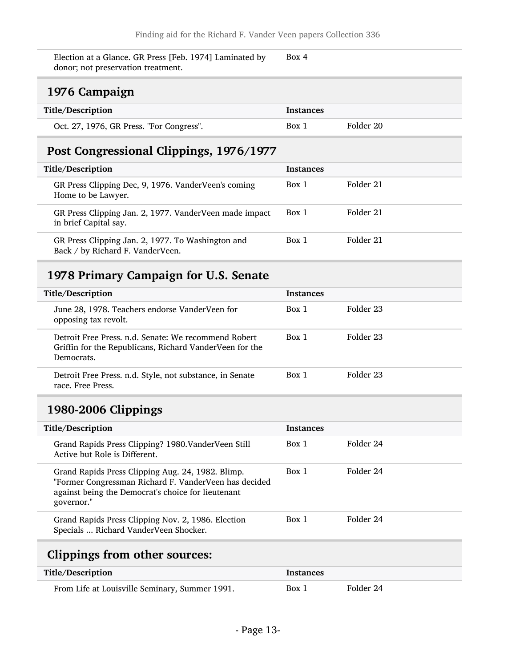Election at a Glance. GR Press [Feb. 1974] Laminated by donor; not preservation treatment. Box 4

### <span id="page-12-0"></span>1976 Campaign

| Title/Description                        | Instances |           |
|------------------------------------------|-----------|-----------|
| Oct. 27, 1976, GR Press. "For Congress". | Box 1     | Folder 20 |

## <span id="page-12-1"></span>Post Congressional Clippings, 1976/1977

| Title/Description                                                                     | <b>Instances</b> |           |
|---------------------------------------------------------------------------------------|------------------|-----------|
| GR Press Clipping Dec, 9, 1976. VanderVeen's coming<br>Home to be Lawyer.             | Box 1            | Folder 21 |
| GR Press Clipping Jan. 2, 1977. Vander Veen made impact<br>in brief Capital say.      | Box 1            | Folder 21 |
| GR Press Clipping Jan. 2, 1977. To Washington and<br>Back / by Richard F. VanderVeen. | Box 1            | Folder 21 |

### <span id="page-12-2"></span>1978 Primary Campaign for U.S. Senate

| Title/Description                                                                                                             | <b>Instances</b> |           |
|-------------------------------------------------------------------------------------------------------------------------------|------------------|-----------|
| June 28, 1978. Teachers endorse VanderVeen for<br>opposing tax revolt.                                                        | Box 1            | Folder 23 |
| Detroit Free Press, n.d. Senate: We recommend Robert<br>Griffin for the Republicans, Richard VanderVeen for the<br>Democrats. | Box 1            | Folder 23 |
| Detroit Free Press. n.d. Style, not substance, in Senate<br>race. Free Press.                                                 | Box 1            | Folder 23 |

### <span id="page-12-3"></span>1980-2006 Clippings

| Title/Description                                                                                                                                                              | <b>Instances</b> |           |
|--------------------------------------------------------------------------------------------------------------------------------------------------------------------------------|------------------|-----------|
| Grand Rapids Press Clipping? 1980. Vander Veen Still<br>Active but Role is Different.                                                                                          | Box 1            | Folder 24 |
| Grand Rapids Press Clipping Aug. 24, 1982. Blimp.<br>"Former Congressman Richard F. VanderVeen has decided<br>against being the Democrat's choice for lieutenant<br>governor." | Box 1            | Folder 24 |
| Grand Rapids Press Clipping Nov. 2, 1986. Election<br>Specials  Richard VanderVeen Shocker.                                                                                    | Box 1            | Folder 24 |
|                                                                                                                                                                                |                  |           |

## <span id="page-12-4"></span>Clippings from other sources:

| Title/Description                              | Instances |           |
|------------------------------------------------|-----------|-----------|
| From Life at Louisville Seminary, Summer 1991. | Box 1     | Folder 24 |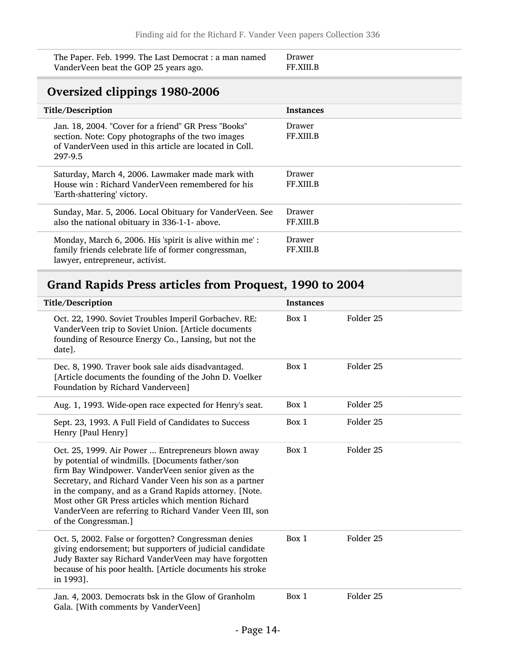The Paper. Feb. 1999. The Last Democrat : a man named VanderVeen beat the GOP 25 years ago.

#### Drawer FF.XIII.B

### <span id="page-13-0"></span>Oversized clippings 1980-2006

| Title/Description                                                                                                                                                               | <b>Instances</b>           |
|---------------------------------------------------------------------------------------------------------------------------------------------------------------------------------|----------------------------|
| Jan. 18, 2004. "Cover for a friend" GR Press "Books"<br>section. Note: Copy photographs of the two images<br>of VanderVeen used in this article are located in Coll.<br>297-9.5 | Drawer<br>FF.XIII.B        |
| Saturday, March 4, 2006. Lawmaker made mark with<br>House win: Richard VanderVeen remembered for his<br>'Earth-shattering' victory.                                             | Drawer<br><b>FF.XIII.B</b> |
| Sunday, Mar. 5, 2006. Local Obituary for VanderVeen. See<br>also the national obituary in 336-1-1- above.                                                                       | Drawer<br>FF.XIII.B        |
| Monday, March 6, 2006. His 'spirit is alive within me':<br>family friends celebrate life of former congressman,<br>lawyer, entrepreneur, activist.                              | Drawer<br>FF.XIII.B        |

### <span id="page-13-1"></span>Grand Rapids Press articles from Proquest, 1990 to 2004

| Title/Description                                                                                                                                                                                                                                                                                                                                                                                                           | <b>Instances</b> |                      |
|-----------------------------------------------------------------------------------------------------------------------------------------------------------------------------------------------------------------------------------------------------------------------------------------------------------------------------------------------------------------------------------------------------------------------------|------------------|----------------------|
| Oct. 22, 1990. Soviet Troubles Imperil Gorbachev. RE:<br>VanderVeen trip to Soviet Union. [Article documents<br>founding of Resource Energy Co., Lansing, but not the<br>date].                                                                                                                                                                                                                                             | Box 1            | Folder <sub>25</sub> |
| Dec. 8, 1990. Traver book sale aids disadvantaged.<br>[Article documents the founding of the John D. Voelker<br>Foundation by Richard Vanderveen]                                                                                                                                                                                                                                                                           | Box 1            | Folder 25            |
| Aug. 1, 1993. Wide-open race expected for Henry's seat.                                                                                                                                                                                                                                                                                                                                                                     | Box 1            | Folder <sub>25</sub> |
| Sept. 23, 1993. A Full Field of Candidates to Success<br>Henry [Paul Henry]                                                                                                                                                                                                                                                                                                                                                 | Box 1            | Folder 25            |
| Oct. 25, 1999. Air Power  Entrepreneurs blown away<br>by potential of windmills. [Documents father/son<br>firm Bay Windpower. VanderVeen senior given as the<br>Secretary, and Richard Vander Veen his son as a partner<br>in the company, and as a Grand Rapids attorney. [Note.<br>Most other GR Press articles which mention Richard<br>VanderVeen are referring to Richard Vander Veen III, son<br>of the Congressman.] | Box 1            | Folder <sub>25</sub> |
| Oct. 5, 2002. False or forgotten? Congressman denies<br>giving endorsement; but supporters of judicial candidate<br>Judy Baxter say Richard VanderVeen may have forgotten<br>because of his poor health. [Article documents his stroke<br>in 1993].                                                                                                                                                                         | Box 1            | Folder <sub>25</sub> |
| Jan. 4, 2003. Democrats bsk in the Glow of Granholm<br>Gala. [With comments by VanderVeen]                                                                                                                                                                                                                                                                                                                                  | Box 1            | Folder <sub>25</sub> |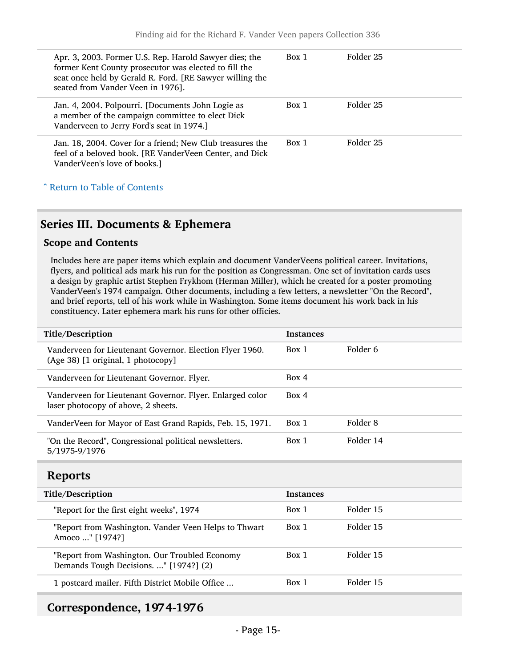| Apr. 3, 2003. Former U.S. Rep. Harold Sawyer dies; the<br>former Kent County prosecutor was elected to fill the<br>seat once held by Gerald R. Ford. [RE Sawyer willing the<br>seated from Vander Veen in 1976]. | Box 1 | Folder 25 |
|------------------------------------------------------------------------------------------------------------------------------------------------------------------------------------------------------------------|-------|-----------|
| Jan. 4, 2004. Polpourri. [Documents John Logie as<br>a member of the campaign committee to elect Dick<br>Vanderveen to Jerry Ford's seat in 1974.]                                                               | Box 1 | Folder 25 |
| Jan. 18, 2004. Cover for a friend; New Club treasures the<br>feel of a beloved book. [RE VanderVeen Center, and Dick<br>VanderVeen's love of books.]                                                             | Box 1 | Folder 25 |

### ^ [Return to Table of Contents](#page-1-0)

#### <span id="page-14-0"></span>Series III. Documents & Ephemera

#### Scope and Contents

Includes here are paper items which explain and document VanderVeens political career. Invitations, flyers, and political ads mark his run for the position as Congressman. One set of invitation cards uses a design by graphic artist Stephen Frykhom (Herman Miller), which he created for a poster promoting VanderVeen's 1974 campaign. Other documents, including a few letters, a newsletter "On the Record", and brief reports, tell of his work while in Washington. Some items document his work back in his constituency. Later ephemera mark his runs for other officies.

| Title/Description                                                                                | <b>Instances</b> |           |
|--------------------------------------------------------------------------------------------------|------------------|-----------|
| Vanderveen for Lieutenant Governor. Election Flyer 1960.<br>(Age 38) [1 original, 1 photocopy]   | Box 1            | Folder 6  |
| Vanderveen for Lieutenant Governor. Flyer.                                                       | Box 4            |           |
| Vanderveen for Lieutenant Governor. Flyer. Enlarged color<br>laser photocopy of above, 2 sheets. | Box 4            |           |
| VanderVeen for Mayor of East Grand Rapids, Feb. 15, 1971.                                        | Box 1            | Folder 8  |
| "On the Record", Congressional political newsletters.<br>5/1975-9/1976                           | Box 1            | Folder 14 |

#### <span id="page-14-1"></span>Reports

| Title/Description                                                                       | <b>Instances</b> |           |
|-----------------------------------------------------------------------------------------|------------------|-----------|
| "Report for the first eight weeks", 1974                                                | Box 1            | Folder 15 |
| "Report from Washington. Vander Veen Helps to Thwart<br>Amoco " [1974?]                 | Box 1            | Folder 15 |
| "Report from Washington. Our Troubled Economy<br>Demands Tough Decisions. " [1974?] (2) | Box 1            | Folder 15 |
| 1 postcard mailer. Fifth District Mobile Office                                         | Box 1            | Folder 15 |

#### <span id="page-14-2"></span>Correspondence, 1974-1976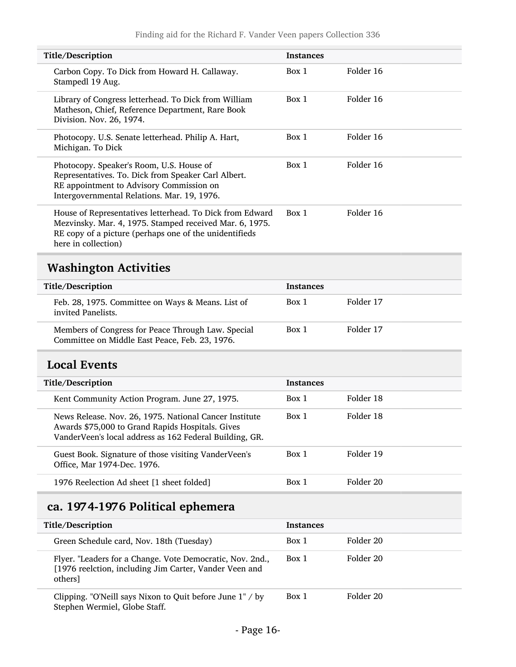<span id="page-15-0"></span>

| Title/Description                                                                                                                                                                                    | <b>Instances</b> |           |
|------------------------------------------------------------------------------------------------------------------------------------------------------------------------------------------------------|------------------|-----------|
| Carbon Copy. To Dick from Howard H. Callaway.<br>Stampedl 19 Aug.                                                                                                                                    | Box 1            | Folder 16 |
| Library of Congress letterhead. To Dick from William<br>Matheson, Chief, Reference Department, Rare Book<br>Division. Nov. 26, 1974.                                                                 | Box 1            | Folder 16 |
| Photocopy. U.S. Senate letterhead. Philip A. Hart,<br>Michigan. To Dick                                                                                                                              | Box 1            | Folder 16 |
| Photocopy. Speaker's Room, U.S. House of<br>Representatives. To. Dick from Speaker Carl Albert.<br>RE appointment to Advisory Commission on<br>Intergovernmental Relations. Mar. 19, 1976.           | Box 1            | Folder 16 |
| House of Representatives letterhead. To Dick from Edward<br>Mezvinsky. Mar. 4, 1975. Stamped received Mar. 6, 1975.<br>RE copy of a picture (perhaps one of the unidentifieds<br>here in collection) | Box 1            | Folder 16 |
| <b>Washington Activities</b>                                                                                                                                                                         |                  |           |
| Title/Description                                                                                                                                                                                    | <b>Instances</b> |           |
| Feb. 28, 1975. Committee on Ways & Means. List of<br>invited Panelists.                                                                                                                              | Box 1            | Folder 17 |
| Members of Congress for Peace Through Law. Special<br>Committee on Middle East Peace, Feb. 23, 1976.                                                                                                 | Box 1            | Folder 17 |
| <b>Local Events</b>                                                                                                                                                                                  |                  |           |
| Title/Description                                                                                                                                                                                    | <b>Instances</b> |           |
| Kent Community Action Program. June 27, 1975.                                                                                                                                                        | Box 1            | Folder 18 |
| News Release. Nov. 26, 1975. National Cancer Institute<br>Awards \$75,000 to Grand Rapids Hospitals. Gives<br>VanderVeen's local address as 162 Federal Building, GR.                                | Box 1            | Folder 18 |
| Guest Book. Signature of those visiting VanderVeen's<br>Office, Mar 1974-Dec. 1976.                                                                                                                  | Box 1            | Folder 19 |
| 1976 Reelection Ad sheet [1 sheet folded]                                                                                                                                                            | Box 1            | Folder 20 |

## <span id="page-15-2"></span><span id="page-15-1"></span>ca. 1974-1976 Political ephemera

| Title/Description                                                                                                              | <b>Instances</b> |           |
|--------------------------------------------------------------------------------------------------------------------------------|------------------|-----------|
| Green Schedule card, Nov. 18th (Tuesday)                                                                                       | Box 1            | Folder 20 |
| Flyer. "Leaders for a Change. Vote Democratic, Nov. 2nd.,<br>[1976 reelction, including Jim Carter, Vander Veen and<br>others] | Box 1            | Folder 20 |
| Clipping. "O'Neill says Nixon to Quit before June 1" / by<br>Stephen Wermiel, Globe Staff.                                     | Box 1            | Folder 20 |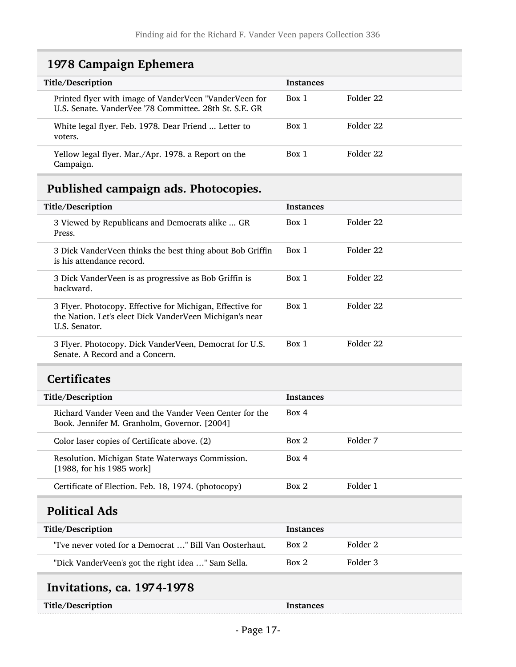### <span id="page-16-0"></span>1978 Campaign Ephemera

| Title/Description                                                                                                | <b>Instances</b> |           |
|------------------------------------------------------------------------------------------------------------------|------------------|-----------|
| Printed flyer with image of VanderVeen "VanderVeen for<br>U.S. Senate. VanderVee '78 Committee. 28th St. S.E. GR | Box 1            | Folder 22 |
| White legal flyer. Feb. 1978. Dear Friend  Letter to<br>voters.                                                  | Box 1            | Folder 22 |
| Yellow legal flyer. Mar./Apr. 1978. a Report on the<br>Campaign.                                                 | Box 1            | Folder 22 |

## <span id="page-16-1"></span>Published campaign ads. Photocopies.

| Title/Description                                                                                                                     | <b>Instances</b> |           |
|---------------------------------------------------------------------------------------------------------------------------------------|------------------|-----------|
| 3 Viewed by Republicans and Democrats alike  GR<br>Press.                                                                             | Box 1            | Folder 22 |
| 3 Dick VanderVeen thinks the best thing about Bob Griffin<br>is his attendance record.                                                | Box 1            | Folder 22 |
| 3 Dick VanderVeen is as progressive as Bob Griffin is<br>backward.                                                                    | Box 1            | Folder 22 |
| 3 Flyer. Photocopy. Effective for Michigan, Effective for<br>the Nation. Let's elect Dick VanderVeen Michigan's near<br>U.S. Senator. | Box 1            | Folder 22 |
| 3 Flyer. Photocopy. Dick VanderVeen, Democrat for U.S.<br>Senate, A Record and a Concern.                                             | Box 1            | Folder 22 |

### <span id="page-16-2"></span>**Certificates**

| Title/Description                                                                                      | <b>Instances</b> |          |
|--------------------------------------------------------------------------------------------------------|------------------|----------|
| Richard Vander Veen and the Vander Veen Center for the<br>Book. Jennifer M. Granholm, Governor. [2004] | Box 4            |          |
| Color laser copies of Certificate above. (2)                                                           | Box 2            | Folder 7 |
| Resolution. Michigan State Waterways Commission.<br>[1988, for his 1985 work]                          | Box 4            |          |
| Certificate of Election. Feb. 18, 1974. (photocopy)                                                    | Box 2            | Folder 1 |

### <span id="page-16-3"></span>Political Ads

| Title/Description                                       | <b>Instances</b> |          |
|---------------------------------------------------------|------------------|----------|
| "I've never voted for a Democrat " Bill Van Oosterhaut. | Box 2            | Folder 2 |
| "Dick VanderVeen's got the right idea " Sam Sella.      | Box 2            | Folder 3 |

## <span id="page-16-4"></span>Invitations, ca. 1974-1978

Title/Description Instances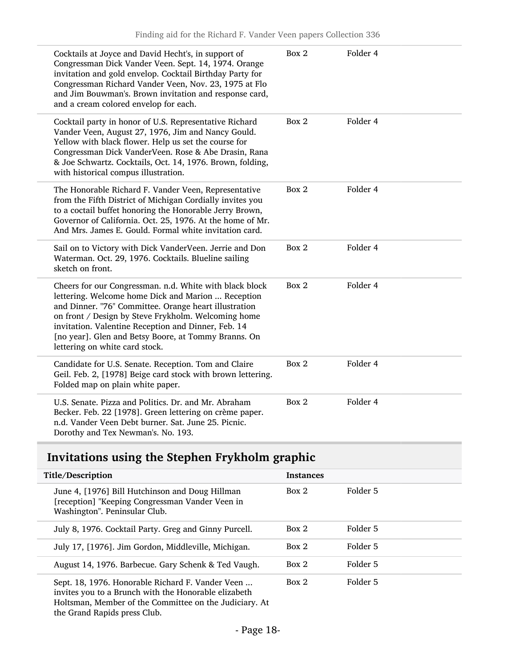| Cocktails at Joyce and David Hecht's, in support of<br>Congressman Dick Vander Veen. Sept. 14, 1974. Orange<br>invitation and gold envelop. Cocktail Birthday Party for<br>Congressman Richard Vander Veen, Nov. 23, 1975 at Flo<br>and Jim Bouwman's. Brown invitation and response card,<br>and a cream colored envelop for each.                                            | Box 2 | Folder 4 |
|--------------------------------------------------------------------------------------------------------------------------------------------------------------------------------------------------------------------------------------------------------------------------------------------------------------------------------------------------------------------------------|-------|----------|
| Cocktail party in honor of U.S. Representative Richard<br>Vander Veen, August 27, 1976, Jim and Nancy Gould.<br>Yellow with black flower. Help us set the course for<br>Congressman Dick VanderVeen. Rose & Abe Drasin, Rana<br>& Joe Schwartz. Cocktails, Oct. 14, 1976. Brown, folding,<br>with historical compus illustration.                                              | Box 2 | Folder 4 |
| The Honorable Richard F. Vander Veen, Representative<br>from the Fifth District of Michigan Cordially invites you<br>to a coctail buffet honoring the Honorable Jerry Brown,<br>Governor of California. Oct. 25, 1976. At the home of Mr.<br>And Mrs. James E. Gould. Formal white invitation card.                                                                            | Box 2 | Folder 4 |
| Sail on to Victory with Dick VanderVeen. Jerrie and Don<br>Waterman. Oct. 29, 1976. Cocktails. Blueline sailing<br>sketch on front.                                                                                                                                                                                                                                            | Box 2 | Folder 4 |
| Cheers for our Congressman. n.d. White with black block<br>lettering. Welcome home Dick and Marion  Reception<br>and Dinner. "76" Committee. Orange heart illustration<br>on front / Design by Steve Frykholm. Welcoming home<br>invitation. Valentine Reception and Dinner, Feb. 14<br>[no year]. Glen and Betsy Boore, at Tommy Branns. On<br>lettering on white card stock. | Box 2 | Folder 4 |
| Candidate for U.S. Senate. Reception. Tom and Claire<br>Geil. Feb. 2, [1978] Beige card stock with brown lettering.<br>Folded map on plain white paper.                                                                                                                                                                                                                        | Box 2 | Folder 4 |
| U.S. Senate. Pizza and Politics. Dr. and Mr. Abraham<br>Becker. Feb. 22 [1978]. Green lettering on crème paper.<br>n.d. Vander Veen Debt burner. Sat. June 25. Picnic.<br>Dorothy and Tex Newman's. No. 193.                                                                                                                                                                   | Box 2 | Folder 4 |

## <span id="page-17-0"></span>Invitations using the Stephen Frykholm graphic

| Title/Description                                                                                                                   | <b>Instances</b>  |  |
|-------------------------------------------------------------------------------------------------------------------------------------|-------------------|--|
| June 4, [1976] Bill Hutchinson and Doug Hillman<br>[reception] "Keeping Congressman Vander Veen in<br>Washington". Peninsular Club. | Folder 5<br>Box 2 |  |
| July 8, 1976. Cocktail Party. Greg and Ginny Purcell.                                                                               | Folder 5<br>Box 2 |  |
| July 17, [1976]. Jim Gordon, Middleville, Michigan.                                                                                 | Folder 5<br>Box 2 |  |
| August 14, 1976. Barbecue. Gary Schenk & Ted Vaugh.                                                                                 | Folder 5<br>Box 2 |  |
| Sept. 18, 1976. Honorable Richard F. Vander Veen<br>invites you to a Brunch with the Honorable elizabeth                            | Folder 5<br>Box 2 |  |

Holtsman, Member of the Committee on the Judiciary. At

the Grand Rapids press Club.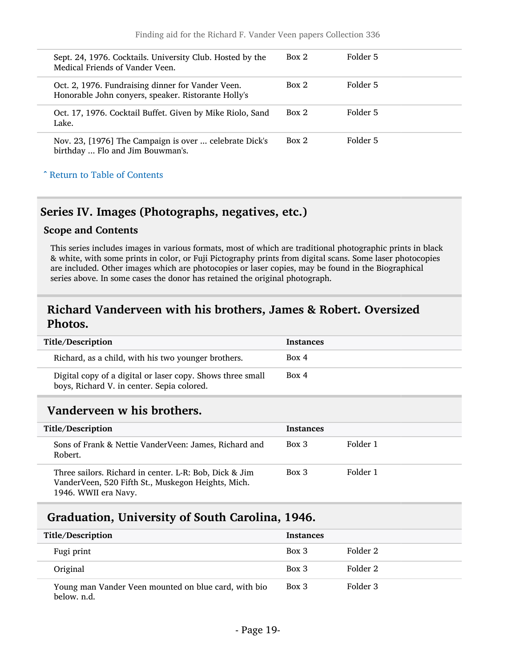| Sept. 24, 1976. Cocktails. University Club. Hosted by the<br>Medical Friends of Vander Veen.             | Box 2 | Folder 5 |
|----------------------------------------------------------------------------------------------------------|-------|----------|
| Oct. 2, 1976. Fundraising dinner for Vander Veen.<br>Honorable John conyers, speaker. Ristorante Holly's | Box 2 | Folder 5 |
| Oct. 17, 1976. Cocktail Buffet. Given by Mike Riolo, Sand<br>Lake.                                       | Box 2 | Folder 5 |
| Nov. 23, [1976] The Campaign is over  celebrate Dick's<br>birthday  Flo and Jim Bouwman's.               | Box 2 | Folder 5 |
| Arr Table of Contents                                                                                    |       |          |

#### <span id="page-18-0"></span>Series IV. Images (Photographs, negatives, etc.)

#### Scope and Contents

This series includes images in various formats, most of which are traditional photographic prints in black & white, with some prints in color, or Fuji Pictography prints from digital scans. Some laser photocopies are included. Other images which are photocopies or laser copies, may be found in the Biographical series above. In some cases the donor has retained the original photograph.

#### <span id="page-18-1"></span>Richard Vanderveen with his brothers, James & Robert. Oversized Photos.

| Title/Description                                                                                        | <b>Instances</b> |
|----------------------------------------------------------------------------------------------------------|------------------|
| Richard, as a child, with his two younger brothers.                                                      | Box 4            |
| Digital copy of a digital or laser copy. Shows three small<br>boys, Richard V. in center. Sepia colored. | Box 4            |

#### <span id="page-18-2"></span>Vanderveen w his brothers.

| Title/Description                                                                                                                    | <b>Instances</b> |          |
|--------------------------------------------------------------------------------------------------------------------------------------|------------------|----------|
| Sons of Frank & Nettie VanderVeen: James, Richard and<br>Robert.                                                                     | $Box\ 3$         | Folder 1 |
| Three sailors. Richard in center. L-R: Bob, Dick & Jim<br>VanderVeen, 520 Fifth St., Muskegon Heights, Mich.<br>1946. WWII era Navy. | Box 3            | Folder 1 |

### <span id="page-18-3"></span>Graduation, University of South Carolina, 1946.

| Title/Description                                                   | <b>Instances</b> |          |
|---------------------------------------------------------------------|------------------|----------|
| Fugi print                                                          | Box 3            | Folder 2 |
| Original                                                            | Box 3            | Folder 2 |
| Young man Vander Veen mounted on blue card, with bio<br>below. n.d. | Box 3            | Folder 3 |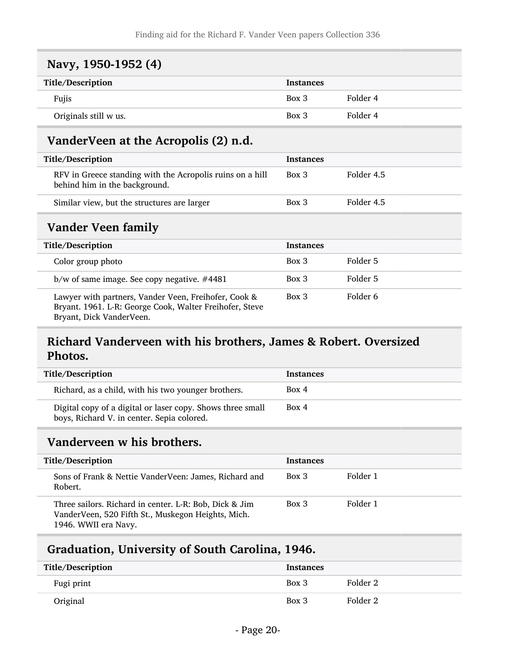<span id="page-19-1"></span><span id="page-19-0"></span>

| Navy, 1950-1952 (4)                                                                        |                         |                       |
|--------------------------------------------------------------------------------------------|-------------------------|-----------------------|
| Title/Description                                                                          | <b>Instances</b>        |                       |
| Fujis                                                                                      | Box 3                   | Folder 4              |
| Originals still w us.                                                                      | Box 3                   | Folder 4              |
| VanderVeen at the Acropolis (2) n.d.                                                       |                         |                       |
| Title/Description                                                                          | <b>Instances</b>        |                       |
| RFV in Greece standing with the Acropolis ruins on a hill<br>behind him in the background. | $Box\ 3$                | Folder 4.5            |
| Similar view, but the structures are larger                                                | Box 3                   | Folder 4.5            |
| Vander Veen family                                                                         |                         |                       |
| Title/Description                                                                          | <b>Instances</b>        |                       |
| Color crosse abota                                                                         | $D_{\alpha x}$ $\Omega$ | $E \sim 1.4 \times E$ |

<span id="page-19-2"></span>

| Color group photo                                                                                                                           | Box 3    | Folder 5 |
|---------------------------------------------------------------------------------------------------------------------------------------------|----------|----------|
| $b/w$ of same image. See copy negative. #4481                                                                                               | $Box\ 3$ | Folder 5 |
| Lawyer with partners, Vander Veen, Freihofer, Cook &<br>Bryant. 1961. L-R: George Cook, Walter Freihofer, Steve<br>Bryant, Dick VanderVeen. | $Box\ 3$ | Folder 6 |

### <span id="page-19-3"></span>Richard Vanderveen with his brothers, James & Robert. Oversized Photos.

| Title/Description                                                                                        | <b>Instances</b> |
|----------------------------------------------------------------------------------------------------------|------------------|
| Richard, as a child, with his two younger brothers.                                                      | Box 4            |
| Digital copy of a digital or laser copy. Shows three small<br>boys, Richard V. in center. Sepia colored. | Box 4            |

### <span id="page-19-4"></span>Vanderveen w his brothers.

| Title/Description                                                                                                                    | <b>Instances</b> |          |
|--------------------------------------------------------------------------------------------------------------------------------------|------------------|----------|
| Sons of Frank & Nettie VanderVeen: James, Richard and<br>Robert.                                                                     | $Box\ 3$         | Folder 1 |
| Three sailors. Richard in center. L-R: Bob, Dick & Jim<br>VanderVeen, 520 Fifth St., Muskegon Heights, Mich.<br>1946. WWII era Navy. | $Box\ 3$         | Folder 1 |

### <span id="page-19-5"></span>Graduation, University of South Carolina, 1946.

| Title/Description | Instances |          |
|-------------------|-----------|----------|
| Fugi print        | Box 3     | Folder 2 |
| Original          | Box 3     | Folder 2 |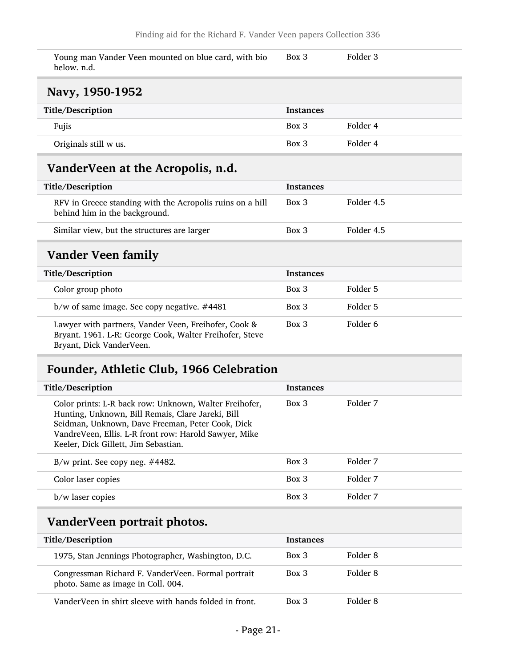| Young man Vander Veen mounted on blue card, with bio | Box 3 | Folder 3 |
|------------------------------------------------------|-------|----------|
| below. n.d.                                          |       |          |

#### <span id="page-20-0"></span>Navy, 1950-1952

| Title/Description     | Instances |          |
|-----------------------|-----------|----------|
| Fujis                 | Box 3     | Folder 4 |
| Originals still w us. | Box 3     | Folder 4 |

### <span id="page-20-1"></span>VanderVeen at the Acropolis, n.d.

| Title/Description                                                                          | <b>Instances</b> |            |
|--------------------------------------------------------------------------------------------|------------------|------------|
| RFV in Greece standing with the Acropolis ruins on a hill<br>behind him in the background. | $Box\ 3$         | Folder 4.5 |
| Similar view, but the structures are larger                                                | $Box\ 3$         | Folder 4.5 |

### <span id="page-20-2"></span>Vander Veen family

| Title/Description                                                                                                                           | <b>Instances</b> |          |
|---------------------------------------------------------------------------------------------------------------------------------------------|------------------|----------|
| Color group photo                                                                                                                           | $Box\ 3$         | Folder 5 |
| $b/w$ of same image. See copy negative. #4481                                                                                               | $Box\ 3$         | Folder 5 |
| Lawyer with partners, Vander Veen, Freihofer, Cook &<br>Bryant. 1961. L-R: George Cook, Walter Freihofer, Steve<br>Bryant, Dick VanderVeen. | $Box\ 3$         | Folder 6 |

## <span id="page-20-3"></span>Founder, Athletic Club, 1966 Celebration

| Title/Description                                                                                                                                                                                                                                                | <b>Instances</b> |          |
|------------------------------------------------------------------------------------------------------------------------------------------------------------------------------------------------------------------------------------------------------------------|------------------|----------|
| Color prints: L-R back row: Unknown, Walter Freihofer,<br>Hunting, Unknown, Bill Remais, Clare Jareki, Bill<br>Seidman, Unknown, Dave Freeman, Peter Cook, Dick<br>VandreVeen, Ellis. L-R front row: Harold Sawyer, Mike<br>Keeler, Dick Gillett, Jim Sebastian. | $Box$ 3          | Folder 7 |
| B/w print. See copy neg. $\#4482$ .                                                                                                                                                                                                                              | $Box$ 3          | Folder 7 |
| Color laser copies                                                                                                                                                                                                                                               | $Box$ 3          | Folder 7 |
| b/w laser copies                                                                                                                                                                                                                                                 | $Box\ 3$         | Folder 7 |
| VanderVeen nortrait nhotos                                                                                                                                                                                                                                       |                  |          |

#### <span id="page-20-4"></span>anderveen portrait photos.

| Title/Description                                                                        | <b>Instances</b> |          |
|------------------------------------------------------------------------------------------|------------------|----------|
| 1975, Stan Jennings Photographer, Washington, D.C.                                       | Box 3            | Folder 8 |
| Congressman Richard F. VanderVeen. Formal portrait<br>photo. Same as image in Coll. 004. | $Box\ 3$         | Folder 8 |
| VanderVeen in shirt sleeve with hands folded in front.                                   | $Box$ 3          | Folder 8 |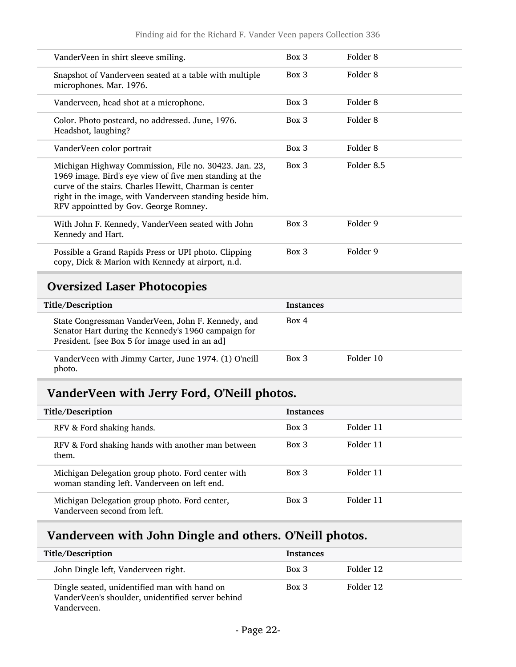| Title/Description                                                                                                                                                                                                                                                               | <b>Instances</b> |            |
|---------------------------------------------------------------------------------------------------------------------------------------------------------------------------------------------------------------------------------------------------------------------------------|------------------|------------|
| <b>Oversized Laser Photocopies</b>                                                                                                                                                                                                                                              |                  |            |
| Possible a Grand Rapids Press or UPI photo. Clipping<br>copy, Dick & Marion with Kennedy at airport, n.d.                                                                                                                                                                       | Box 3            | Folder 9   |
| With John F. Kennedy, VanderVeen seated with John<br>Kennedy and Hart.                                                                                                                                                                                                          | $Box\ 3$         | Folder 9   |
| Michigan Highway Commission, File no. 30423. Jan. 23,<br>1969 image. Bird's eye view of five men standing at the<br>curve of the stairs. Charles Hewitt, Charman is center<br>right in the image, with Vanderveen standing beside him.<br>RFV appointted by Gov. George Romney. | $Box\ 3$         | Folder 8.5 |
| VanderVeen color portrait                                                                                                                                                                                                                                                       | Box 3            | Folder 8   |
| Color. Photo postcard, no addressed. June, 1976.<br>Headshot, laughing?                                                                                                                                                                                                         | $Box\ 3$         | Folder 8   |
| Vanderveen, head shot at a microphone.                                                                                                                                                                                                                                          | Box 3            | Folder 8   |
| Snapshot of Vanderveen seated at a table with multiple<br>microphones. Mar. 1976.                                                                                                                                                                                               | Box 3            | Folder 8   |
| VanderVeen in shirt sleeve smiling.                                                                                                                                                                                                                                             | Box 3            | Folder 8   |
|                                                                                                                                                                                                                                                                                 |                  |            |

<span id="page-21-0"></span>

| Title/Description                                                                                                                                           | Instances |           |
|-------------------------------------------------------------------------------------------------------------------------------------------------------------|-----------|-----------|
| State Congressman VanderVeen, John F. Kennedy, and<br>Senator Hart during the Kennedy's 1960 campaign for<br>President. [see Box 5 for image used in an ad] | Box 4     |           |
| VanderVeen with Jimmy Carter, June 1974. (1) O'neill<br>photo.                                                                                              | $Box\ 3$  | Folder 10 |

## <span id="page-21-1"></span>VanderVeen with Jerry Ford, O'Neill photos.

| Title/Description                                                                                 | <b>Instances</b> |           |
|---------------------------------------------------------------------------------------------------|------------------|-----------|
| RFV & Ford shaking hands.                                                                         | Box 3            | Folder 11 |
| RFV & Ford shaking hands with another man between<br>them.                                        | $Box\ 3$         | Folder 11 |
| Michigan Delegation group photo. Ford center with<br>woman standing left. Vanderveen on left end. | Box 3            | Folder 11 |
| Michigan Delegation group photo. Ford center,<br>Vanderveen second from left.                     | $Box\ 3$         | Folder 11 |

## <span id="page-21-2"></span>Vanderveen with John Dingle and others. O'Neill photos.

| Title/Description                                                                                                | <b>Instances</b> |           |
|------------------------------------------------------------------------------------------------------------------|------------------|-----------|
| John Dingle left, Vanderveen right.                                                                              | Box 3            | Folder 12 |
| Dingle seated, unidentified man with hand on<br>VanderVeen's shoulder, unidentified server behind<br>Vanderveen. | $Box\ 3$         | Folder 12 |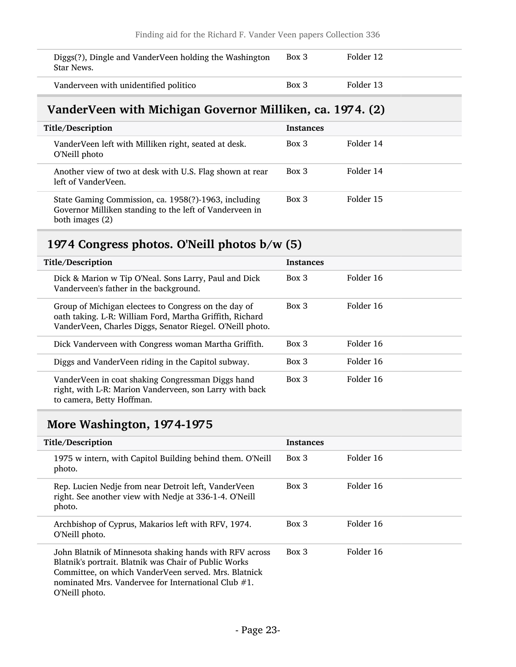| Diggs(?), Dingle and VanderVeen holding the Washington<br>Star News. | Box 3 | Folder 12 |
|----------------------------------------------------------------------|-------|-----------|
| Vanderveen with unidentified politico                                | Box 3 | Folder 13 |

### <span id="page-22-0"></span>VanderVeen with Michigan Governor Milliken, ca. 1974. (2)

| Title/Description                                                                                                                  | <b>Instances</b> |           |
|------------------------------------------------------------------------------------------------------------------------------------|------------------|-----------|
| VanderVeen left with Milliken right, seated at desk.<br>O'Neill photo                                                              | Box 3            | Folder 14 |
| Another view of two at desk with U.S. Flag shown at rear<br>left of VanderVeen.                                                    | Box 3            | Folder 14 |
| State Gaming Commission, ca. 1958(?)-1963, including<br>Governor Milliken standing to the left of Vanderveen in<br>both images (2) | $Box$ 3          | Folder 15 |

## <span id="page-22-1"></span>1974 Congress photos. O'Neill photos b/w (5)

| Title/Description                                                                                                                                                             | <b>Instances</b> |           |
|-------------------------------------------------------------------------------------------------------------------------------------------------------------------------------|------------------|-----------|
| Dick & Marion w Tip O'Neal. Sons Larry, Paul and Dick<br>Vanderveen's father in the background.                                                                               | $Box$ 3          | Folder 16 |
| Group of Michigan electees to Congress on the day of<br>oath taking. L-R: William Ford, Martha Griffith, Richard<br>VanderVeen, Charles Diggs, Senator Riegel. O'Neill photo. | $Box$ 3          | Folder 16 |
| Dick Vanderveen with Congress woman Martha Griffith.                                                                                                                          | $Box$ 3          | Folder 16 |
| Diggs and VanderVeen riding in the Capitol subway.                                                                                                                            | $Box$ 3          | Folder 16 |
| VanderVeen in coat shaking Congressman Diggs hand<br>right, with L-R: Marion Vanderveen, son Larry with back<br>to camera, Betty Hoffman.                                     | Box 3            | Folder 16 |

## <span id="page-22-2"></span>More Washington, 1974-1975

| Title/Description                                                                                                                                                                                                                                    | <b>Instances</b> |           |
|------------------------------------------------------------------------------------------------------------------------------------------------------------------------------------------------------------------------------------------------------|------------------|-----------|
| 1975 w intern, with Capitol Building behind them. O'Neill<br>photo.                                                                                                                                                                                  | Box 3            | Folder 16 |
| Rep. Lucien Nedje from near Detroit left, VanderVeen<br>right. See another view with Nedje at 336-1-4. O'Neill<br>photo.                                                                                                                             | $Box\ 3$         | Folder 16 |
| Archbishop of Cyprus, Makarios left with RFV, 1974.<br>O'Neill photo.                                                                                                                                                                                | $Box\ 3$         | Folder 16 |
| John Blatnik of Minnesota shaking hands with RFV across<br>Blatnik's portrait. Blatnik was Chair of Public Works<br>Committee, on which VanderVeen served. Mrs. Blatnick<br>nominated Mrs. Vandervee for International Club $#1$ .<br>O'Neill photo. | Box 3            | Folder 16 |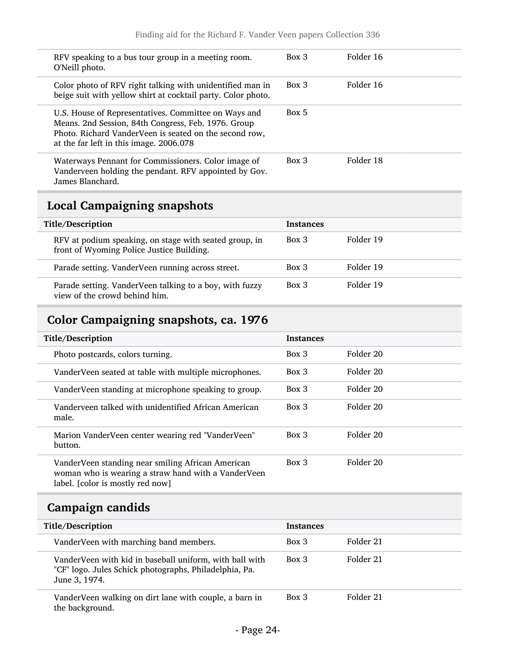| RFV speaking to a bus tour group in a meeting room.<br>O'Neill photo.                                                                                                                                            | $Box\ 3$ | Folder 16 |
|------------------------------------------------------------------------------------------------------------------------------------------------------------------------------------------------------------------|----------|-----------|
| Color photo of RFV right talking with unidentified man in<br>beige suit with yellow shirt at cocktail party. Color photo.                                                                                        | Box 3    | Folder 16 |
| U.S. House of Representatives. Committee on Ways and<br>Means. 2nd Session, 84th Congress, Feb. 1976. Group<br>Photo. Richard VanderVeen is seated on the second row,<br>at the far left in this image. 2006.078 | Box 5    |           |
| Waterways Pennant for Commissioners. Color image of<br>Vanderveen holding the pendant. RFV appointed by Gov.<br>James Blanchard.                                                                                 | Box 3    | Folder 18 |

## <span id="page-23-0"></span>Local Campaigning snapshots

L

| Title/Description                                                                                   | Instances |           |
|-----------------------------------------------------------------------------------------------------|-----------|-----------|
| RFV at podium speaking, on stage with seated group, in<br>front of Wyoming Police Justice Building. | Box 3     | Folder 19 |
| Parade setting. VanderVeen running across street.                                                   | Box 3     | Folder 19 |
| Parade setting. VanderVeen talking to a boy, with fuzzy<br>view of the crowd behind him.            | $Box\ 3$  | Folder 19 |

## <span id="page-23-1"></span>Color Campaigning snapshots, ca. 1976

| Title/Description                                                                                                                            | <b>Instances</b> |           |
|----------------------------------------------------------------------------------------------------------------------------------------------|------------------|-----------|
|                                                                                                                                              |                  |           |
| Photo postcards, colors turning.                                                                                                             | Box 3            | Folder 20 |
| VanderVeen seated at table with multiple microphones.                                                                                        | Box 3            | Folder 20 |
| VanderVeen standing at microphone speaking to group.                                                                                         | $Box$ 3          | Folder 20 |
| Vanderveen talked with unidentified African American<br>male.                                                                                | Box 3            | Folder 20 |
| Marion VanderVeen center wearing red "VanderVeen"<br>button.                                                                                 | Box 3            | Folder 20 |
| VanderVeen standing near smiling African American<br>woman who is wearing a straw hand with a VanderVeen<br>label. [color is mostly red now] | Box 3            | Folder 20 |

## <span id="page-23-2"></span>Campaign candids

| Title/Description                                                                                                                  | <b>Instances</b> |           |
|------------------------------------------------------------------------------------------------------------------------------------|------------------|-----------|
| VanderVeen with marching band members.                                                                                             | Box 3            | Folder 21 |
| VanderVeen with kid in baseball uniform, with ball with<br>"CF" logo. Jules Schick photographs, Philadelphia, Pa.<br>June 3, 1974. | $Box$ 3          | Folder 21 |
| Vander Veen walking on dirt lane with couple, a barn in<br>the background.                                                         | $Box$ 3          | Folder 21 |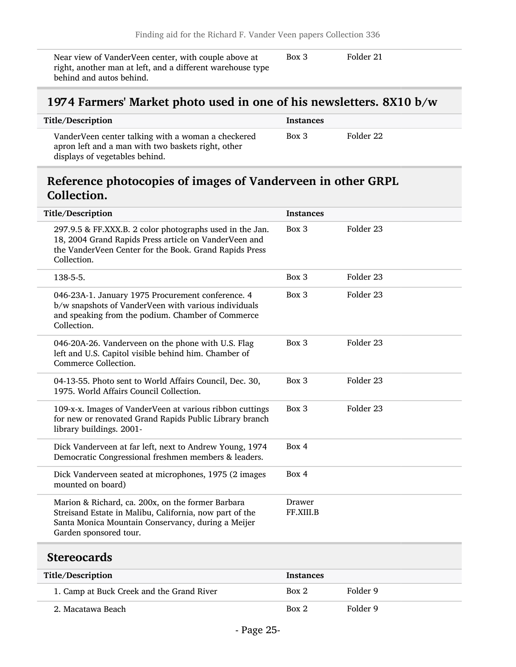Near view of VanderVeen center, with couple above at right, another man at left, and a different warehouse type behind and autos behind.

Box 3 Folder 21

### <span id="page-24-0"></span>1974 Farmers' Market photo used in one of his newsletters. 8X10 b/w

| Title/Description                                                                                                                          | <b>Instances</b> |           |
|--------------------------------------------------------------------------------------------------------------------------------------------|------------------|-----------|
| VanderVeen center talking with a woman a checkered<br>apron left and a man with two baskets right, other<br>displays of vegetables behind. | $Box\ 3$         | Folder 22 |

### <span id="page-24-1"></span>Reference photocopies of images of Vanderveen in other GRPL Collection.

| Title/Description                                                                                                                                                                            | <b>Instances</b>    |                      |
|----------------------------------------------------------------------------------------------------------------------------------------------------------------------------------------------|---------------------|----------------------|
| 297.9.5 & FF.XXX.B. 2 color photographs used in the Jan.<br>18, 2004 Grand Rapids Press article on VanderVeen and<br>the VanderVeen Center for the Book. Grand Rapids Press<br>Collection.   | Box 3               | Folder 23            |
| 138-5-5.                                                                                                                                                                                     | Box 3               | Folder <sub>23</sub> |
| 046-23A-1. January 1975 Procurement conference. 4<br>b/w snapshots of VanderVeen with various individuals<br>and speaking from the podium. Chamber of Commerce<br>Collection.                | Box 3               | Folder 23            |
| 046-20A-26. Vanderveen on the phone with U.S. Flag<br>left and U.S. Capitol visible behind him. Chamber of<br>Commerce Collection.                                                           | Box 3               | Folder <sub>23</sub> |
| 04-13-55. Photo sent to World Affairs Council, Dec. 30,<br>1975. World Affairs Council Collection.                                                                                           | Box 3               | Folder <sub>23</sub> |
| 109-x-x. Images of VanderVeen at various ribbon cuttings<br>for new or renovated Grand Rapids Public Library branch<br>library buildings. 2001-                                              | Box 3               | Folder 23            |
| Dick Vanderveen at far left, next to Andrew Young, 1974<br>Democratic Congressional freshmen members & leaders.                                                                              | Box 4               |                      |
| Dick Vanderveen seated at microphones, 1975 (2 images<br>mounted on board)                                                                                                                   | Box 4               |                      |
| Marion & Richard, ca. 200x, on the former Barbara<br>Streisand Estate in Malibu, California, now part of the<br>Santa Monica Mountain Conservancy, during a Meijer<br>Garden sponsored tour. | Drawer<br>FF.XIII.B |                      |

#### <span id="page-24-2"></span>**Stereocards**

| Title/Description                         | <b>Instances</b> |          |
|-------------------------------------------|------------------|----------|
| 1. Camp at Buck Creek and the Grand River | Box 2            | Folder 9 |
| 2. Macatawa Beach                         | Box 2            | Folder 9 |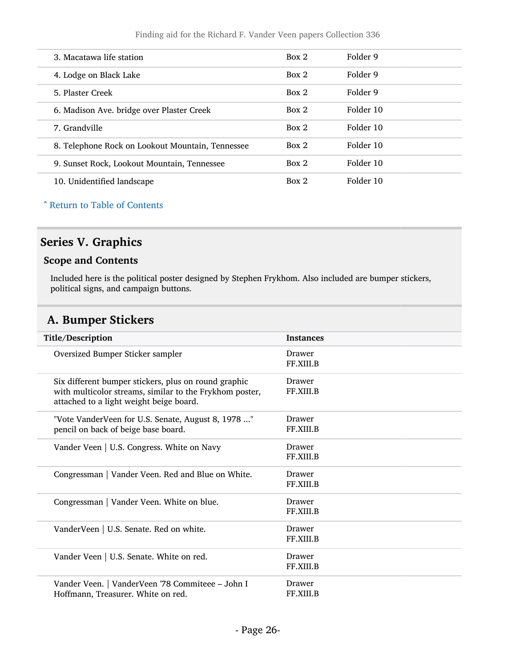| 3. Macatawa life station                         | Box 2 | Folder 9  |
|--------------------------------------------------|-------|-----------|
| 4. Lodge on Black Lake                           | Box 2 | Folder 9  |
| 5. Plaster Creek                                 | Box 2 | Folder 9  |
| 6. Madison Ave. bridge over Plaster Creek        | Box 2 | Folder 10 |
| 7. Grandville                                    | Box 2 | Folder 10 |
| 8. Telephone Rock on Lookout Mountain, Tennessee | Box 2 | Folder 10 |
| 9. Sunset Rock, Lookout Mountain, Tennessee      | Box 2 | Folder 10 |
| 10. Unidentified landscape                       | Box 2 | Folder 10 |

#### ^ [Return to Table of Contents](#page-1-0)

### <span id="page-25-0"></span>Series V. Graphics

#### Scope and Contents

Included here is the political poster designed by Stephen Frykhom. Also included are bumper stickers, political signs, and campaign buttons.

### <span id="page-25-1"></span>A. Bumper Stickers

| Title/Description                                                                                                                                          | <b>Instances</b>           |
|------------------------------------------------------------------------------------------------------------------------------------------------------------|----------------------------|
| Oversized Bumper Sticker sampler                                                                                                                           | Drawer<br>FF.XIII.B        |
| Six different bumper stickers, plus on round graphic<br>with multicolor streams, similar to the Frykhom poster,<br>attached to a light weight beige board. | Drawer<br><b>FF.XIII.B</b> |
| "Vote VanderVeen for U.S. Senate, August 8, 1978 "<br>pencil on back of beige base board.                                                                  | Drawer<br>FF.XIII.B        |
| Vander Veen   U.S. Congress. White on Navy                                                                                                                 | Drawer<br><b>FF.XIII.B</b> |
| Congressman   Vander Veen. Red and Blue on White.                                                                                                          | Drawer<br><b>FF.XIII.B</b> |
| Congressman   Vander Veen. White on blue.                                                                                                                  | Drawer<br><b>FF.XIII.B</b> |
| VanderVeen   U.S. Senate. Red on white.                                                                                                                    | Drawer<br><b>FF.XIII.B</b> |
| Vander Veen   U.S. Senate. White on red.                                                                                                                   | Drawer<br>FF.XIII.B        |
| Vander Veen.   VanderVeen '78 Commiteee - John I<br>Hoffmann, Treasurer. White on red.                                                                     | Drawer<br>FF.XIII.B        |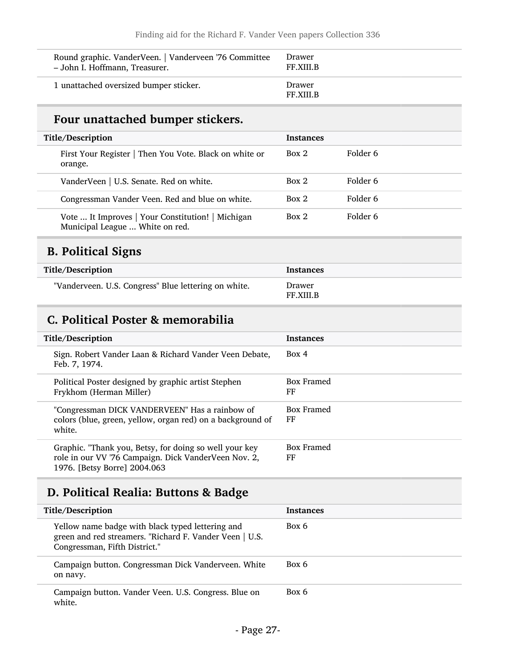| Round graphic. VanderVeen.   Vanderveen '76 Committee | Drawer                     |
|-------------------------------------------------------|----------------------------|
| - John I. Hoffmann, Treasurer.                        | <b>FF.XIII.B</b>           |
| 1 unattached oversized bumper sticker.                | Drawer<br><b>FF.XIII.B</b> |

## Four unattached bumper stickers.

|         | Title/Description                                                                    | <b>Instances</b> |          |
|---------|--------------------------------------------------------------------------------------|------------------|----------|
| orange. | First Your Register   Then You Vote. Black on white or                               | Box 2            | Folder 6 |
|         | VanderVeen   U.S. Senate. Red on white.                                              | Box 2            | Folder 6 |
|         | Congressman Vander Veen. Red and blue on white.                                      | Box 2            | Folder 6 |
|         | Vote  It Improves   Your Constitution!   Michigan<br>Municipal League  White on red. | Box 2            | Folder 6 |

## <span id="page-26-0"></span>B. Political Signs

| Title/Description                                    | Instances                  |
|------------------------------------------------------|----------------------------|
| "Vanderveen. U.S. Congress" Blue lettering on white. | Drawer<br><b>FF.XIII.B</b> |

### <span id="page-26-1"></span>C. Political Poster & memorabilia

| Title/Description                                                                                                                              | <b>Instances</b> |
|------------------------------------------------------------------------------------------------------------------------------------------------|------------------|
| Sign. Robert Vander Laan & Richard Vander Veen Debate,<br>Feb. 7, 1974.                                                                        | Box 4            |
| Political Poster designed by graphic artist Stephen<br>Frykhom (Herman Miller)                                                                 | Box Framed<br>FF |
| "Congressman DICK VANDERVEEN" Has a rainbow of<br>colors (blue, green, yellow, organ red) on a background of<br>white.                         | Box Framed<br>FF |
| Graphic. "Thank you, Betsy, for doing so well your key<br>role in our VV '76 Campaign. Dick VanderVeen Nov. 2,<br>1976. [Betsy Borre] 2004.063 | Box Framed<br>FF |

## <span id="page-26-2"></span>D. Political Realia: Buttons & Badge

| Title/Description                                                                                                                            | <b>Instances</b> |
|----------------------------------------------------------------------------------------------------------------------------------------------|------------------|
| Yellow name badge with black typed lettering and<br>green and red streamers. "Richard F. Vander Veen   U.S.<br>Congressman, Fifth District." | Box 6            |
| Campaign button. Congressman Dick Vanderveen. White<br>on navy.                                                                              | Box 6            |
| Campaign button. Vander Veen. U.S. Congress. Blue on<br>white.                                                                               | Box 6            |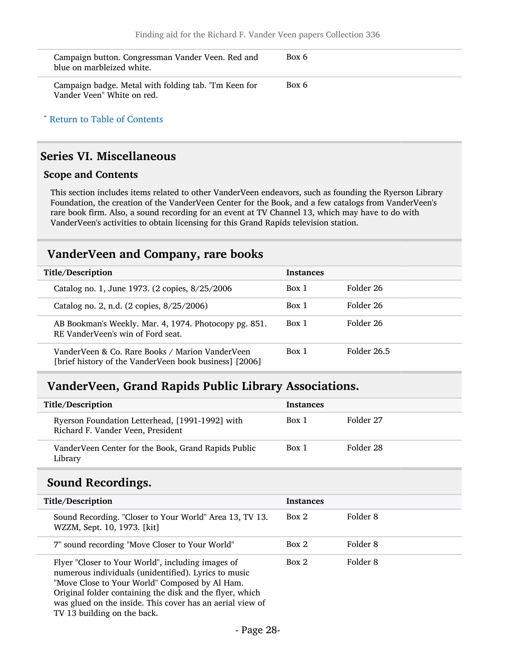| Campaign button. Congressman Vander Veen. Red and<br>blue on marbleized white.      | Box 6 |
|-------------------------------------------------------------------------------------|-------|
| Campaign badge. Metal with folding tab. "I'm Keen for<br>Vander Veen" White on red. | Box 6 |

^ [Return to Table of Contents](#page-1-0)

#### <span id="page-27-0"></span>Series VI. Miscellaneous

#### Scope and Contents

This section includes items related to other VanderVeen endeavors, such as founding the Ryerson Library Foundation, the creation of the VanderVeen Center for the Book, and a few catalogs from VanderVeen's rare book firm. Also, a sound recording for an event at TV Channel 13, which may have to do with VanderVeen's activities to obtain licensing for this Grand Rapids television station.

#### <span id="page-27-1"></span>VanderVeen and Company, rare books

| Title/Description                                                                                         | <b>Instances</b> |             |
|-----------------------------------------------------------------------------------------------------------|------------------|-------------|
| Catalog no. 1, June 1973. (2 copies, 8/25/2006                                                            | Box 1            | Folder 26   |
| Catalog no. 2, n.d. (2 copies, 8/25/2006)                                                                 | Box 1            | Folder 26   |
| AB Bookman's Weekly. Mar. 4, 1974. Photocopy pg. 851.<br>RE VanderVeen's win of Ford seat.                | Box 1            | Folder 26   |
| VanderVeen & Co. Rare Books / Marion VanderVeen<br>[brief history of the VanderVeen book business] [2006] | Box 1            | Folder 26.5 |

#### <span id="page-27-2"></span>VanderVeen, Grand Rapids Public Library Associations.

| Title/Description                                                                    | <b>Instances</b> |           |
|--------------------------------------------------------------------------------------|------------------|-----------|
| Ryerson Foundation Letterhead, [1991-1992] with<br>Richard F. Vander Veen, President | Box 1            | Folder 27 |
| VanderVeen Center for the Book, Grand Rapids Public<br>Library                       | Box 1            | Folder 28 |

#### <span id="page-27-3"></span>Sound Recordings.

| Title/Description                                                                                                                                                                                                                                                                    | <b>Instances</b> |          |
|--------------------------------------------------------------------------------------------------------------------------------------------------------------------------------------------------------------------------------------------------------------------------------------|------------------|----------|
| Sound Recording. "Closer to Your World" Area 13, TV 13.<br>WZZM, Sept. 10, 1973. [kit]                                                                                                                                                                                               | Box 2            | Folder 8 |
| 7" sound recording "Move Closer to Your World"                                                                                                                                                                                                                                       | Box 2            | Folder 8 |
| Flyer "Closer to Your World", including images of<br>numerous individuals (unidentified). Lyrics to music<br>"Move Close to Your World" Composed by Al Ham.<br>Original folder containing the disk and the flyer, which<br>was glued on the inside. This cover has an aerial view of | Box 2            | Folder 8 |

TV 13 building on the back.